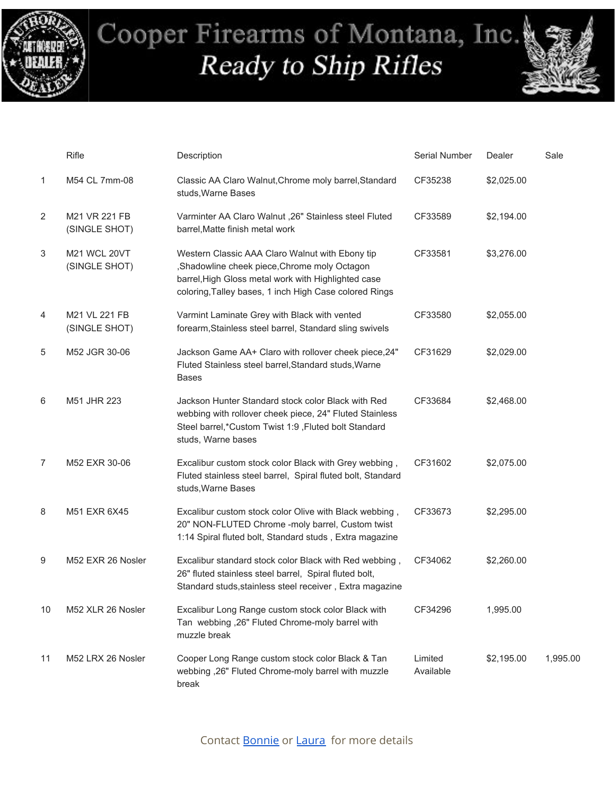



|    | Rifle                          | Description                                                                                                                                                                                                     | Serial Number        | Dealer     | Sale     |
|----|--------------------------------|-----------------------------------------------------------------------------------------------------------------------------------------------------------------------------------------------------------------|----------------------|------------|----------|
| 1  | M54 CL 7mm-08                  | Classic AA Claro Walnut, Chrome moly barrel, Standard<br>studs, Warne Bases                                                                                                                                     | CF35238              | \$2,025.00 |          |
| 2  | M21 VR 221 FB<br>(SINGLE SHOT) | Varminter AA Claro Walnut ,26" Stainless steel Fluted<br>barrel, Matte finish metal work                                                                                                                        | CF33589              | \$2,194.00 |          |
| 3  | M21 WCL 20VT<br>(SINGLE SHOT)  | Western Classic AAA Claro Walnut with Ebony tip<br>,Shadowline cheek piece,Chrome moly Octagon<br>barrel, High Gloss metal work with Highlighted case<br>coloring, Talley bases, 1 inch High Case colored Rings | CF33581              | \$3,276.00 |          |
| 4  | M21 VL 221 FB<br>(SINGLE SHOT) | Varmint Laminate Grey with Black with vented<br>forearm, Stainless steel barrel, Standard sling swivels                                                                                                         | CF33580              | \$2,055.00 |          |
| 5  | M52 JGR 30-06                  | Jackson Game AA+ Claro with rollover cheek piece, 24"<br>Fluted Stainless steel barrel, Standard studs, Warne<br><b>Bases</b>                                                                                   | CF31629              | \$2,029.00 |          |
| 6  | M51 JHR 223                    | Jackson Hunter Standard stock color Black with Red<br>webbing with rollover cheek piece, 24" Fluted Stainless<br>Steel barrel,*Custom Twist 1:9, Fluted bolt Standard<br>studs, Warne bases                     | CF33684              | \$2,468.00 |          |
| 7  | M52 EXR 30-06                  | Excalibur custom stock color Black with Grey webbing,<br>Fluted stainless steel barrel, Spiral fluted bolt, Standard<br>studs, Warne Bases                                                                      | CF31602              | \$2,075.00 |          |
| 8  | M51 EXR 6X45                   | Excalibur custom stock color Olive with Black webbing,<br>20" NON-FLUTED Chrome -moly barrel, Custom twist<br>1:14 Spiral fluted bolt, Standard studs, Extra magazine                                           | CF33673              | \$2,295.00 |          |
| 9  | M52 EXR 26 Nosler              | Excalibur standard stock color Black with Red webbing,<br>26" fluted stainless steel barrel, Spiral fluted bolt,<br>Standard studs, stainless steel receiver, Extra magazine                                    | CF34062              | \$2,260.00 |          |
| 10 | M52 XLR 26 Nosler              | Excalibur Long Range custom stock color Black with<br>Tan webbing ,26" Fluted Chrome-moly barrel with<br>muzzle break                                                                                           | CF34296              | 1,995.00   |          |
| 11 | M52 LRX 26 Nosler              | Cooper Long Range custom stock color Black & Tan<br>webbing ,26" Fluted Chrome-moly barrel with muzzle<br>break                                                                                                 | Limited<br>Available | \$2,195.00 | 1,995.00 |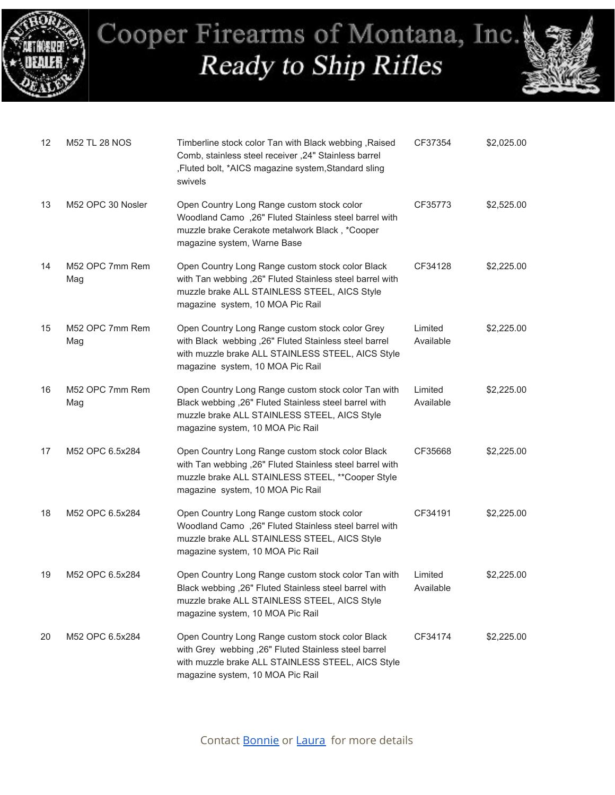



| 12 | <b>M52 TL 28 NOS</b>   | Timberline stock color Tan with Black webbing, Raised<br>Comb, stainless steel receiver , 24" Stainless barrel<br>,Fluted bolt, *AICS magazine system,Standard sling<br>swivels                       | CF37354              | \$2,025.00 |
|----|------------------------|-------------------------------------------------------------------------------------------------------------------------------------------------------------------------------------------------------|----------------------|------------|
| 13 | M52 OPC 30 Nosler      | Open Country Long Range custom stock color<br>Woodland Camo ,26" Fluted Stainless steel barrel with<br>muzzle brake Cerakote metalwork Black, *Cooper<br>magazine system, Warne Base                  | CF35773              | \$2,525.00 |
| 14 | M52 OPC 7mm Rem<br>Mag | Open Country Long Range custom stock color Black<br>with Tan webbing ,26" Fluted Stainless steel barrel with<br>muzzle brake ALL STAINLESS STEEL, AICS Style<br>magazine system, 10 MOA Pic Rail      | CF34128              | \$2,225.00 |
| 15 | M52 OPC 7mm Rem<br>Mag | Open Country Long Range custom stock color Grey<br>with Black webbing , 26" Fluted Stainless steel barrel<br>with muzzle brake ALL STAINLESS STEEL, AICS Style<br>magazine system, 10 MOA Pic Rail    | Limited<br>Available | \$2,225.00 |
| 16 | M52 OPC 7mm Rem<br>Mag | Open Country Long Range custom stock color Tan with<br>Black webbing ,26" Fluted Stainless steel barrel with<br>muzzle brake ALL STAINLESS STEEL, AICS Style<br>magazine system, 10 MOA Pic Rail      | Limited<br>Available | \$2,225.00 |
| 17 | M52 OPC 6.5x284        | Open Country Long Range custom stock color Black<br>with Tan webbing ,26" Fluted Stainless steel barrel with<br>muzzle brake ALL STAINLESS STEEL, ** Cooper Style<br>magazine system, 10 MOA Pic Rail | CF35668              | \$2,225.00 |
| 18 | M52 OPC 6.5x284        | Open Country Long Range custom stock color<br>Woodland Camo ,26" Fluted Stainless steel barrel with<br>muzzle brake ALL STAINLESS STEEL, AICS Style<br>magazine system, 10 MOA Pic Rail               | CF34191              | \$2,225.00 |
| 19 | M52 OPC 6.5x284        | Open Country Long Range custom stock color Tan with<br>Black webbing , 26" Fluted Stainless steel barrel with<br>muzzle brake ALL STAINLESS STEEL, AICS Style<br>magazine system, 10 MOA Pic Rail     | Limited<br>Available | \$2,225.00 |
| 20 | M52 OPC 6.5x284        | Open Country Long Range custom stock color Black<br>with Grey webbing ,26" Fluted Stainless steel barrel<br>with muzzle brake ALL STAINLESS STEEL, AICS Style<br>magazine system, 10 MOA Pic Rail     | CF34174              | \$2,225.00 |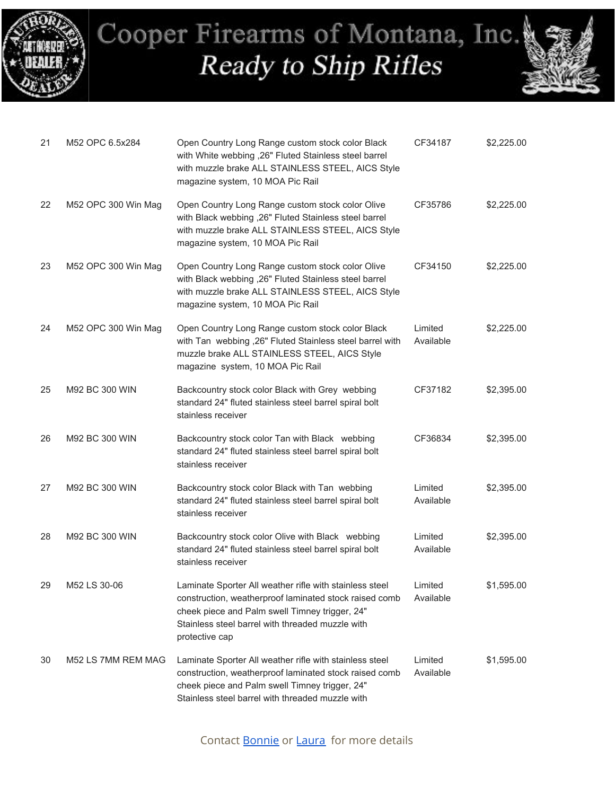



| 21 | M52 OPC 6.5x284     | Open Country Long Range custom stock color Black<br>with White webbing ,26" Fluted Stainless steel barrel<br>with muzzle brake ALL STAINLESS STEEL, AICS Style<br>magazine system, 10 MOA Pic Rail                                        | CF34187              | \$2,225.00 |
|----|---------------------|-------------------------------------------------------------------------------------------------------------------------------------------------------------------------------------------------------------------------------------------|----------------------|------------|
| 22 | M52 OPC 300 Win Mag | Open Country Long Range custom stock color Olive<br>with Black webbing ,26" Fluted Stainless steel barrel<br>with muzzle brake ALL STAINLESS STEEL, AICS Style<br>magazine system, 10 MOA Pic Rail                                        | CF35786              | \$2,225.00 |
| 23 | M52 OPC 300 Win Mag | Open Country Long Range custom stock color Olive<br>with Black webbing , 26" Fluted Stainless steel barrel<br>with muzzle brake ALL STAINLESS STEEL, AICS Style<br>magazine system, 10 MOA Pic Rail                                       | CF34150              | \$2,225.00 |
| 24 | M52 OPC 300 Win Mag | Open Country Long Range custom stock color Black<br>with Tan webbing , 26" Fluted Stainless steel barrel with<br>muzzle brake ALL STAINLESS STEEL, AICS Style<br>magazine system, 10 MOA Pic Rail                                         | Limited<br>Available | \$2,225.00 |
| 25 | M92 BC 300 WIN      | Backcountry stock color Black with Grey webbing<br>standard 24" fluted stainless steel barrel spiral bolt<br>stainless receiver                                                                                                           | CF37182              | \$2,395.00 |
| 26 | M92 BC 300 WIN      | Backcountry stock color Tan with Black webbing<br>standard 24" fluted stainless steel barrel spiral bolt<br>stainless receiver                                                                                                            | CF36834              | \$2,395.00 |
| 27 | M92 BC 300 WIN      | Backcountry stock color Black with Tan webbing<br>standard 24" fluted stainless steel barrel spiral bolt<br>stainless receiver                                                                                                            | Limited<br>Available | \$2,395.00 |
| 28 | M92 BC 300 WIN      | Backcountry stock color Olive with Black webbing<br>standard 24" fluted stainless steel barrel spiral bolt<br>stainless receiver                                                                                                          | Limited<br>Available | \$2,395.00 |
| 29 | M52 LS 30-06        | Laminate Sporter All weather rifle with stainless steel<br>construction, weatherproof laminated stock raised comb<br>cheek piece and Palm swell Timney trigger, 24"<br>Stainless steel barrel with threaded muzzle with<br>protective cap | Limited<br>Available | \$1,595.00 |
| 30 | M52 LS 7MM REM MAG  | Laminate Sporter All weather rifle with stainless steel<br>construction, weatherproof laminated stock raised comb<br>cheek piece and Palm swell Timney trigger, 24"<br>Stainless steel barrel with threaded muzzle with                   | Limited<br>Available | \$1,595.00 |